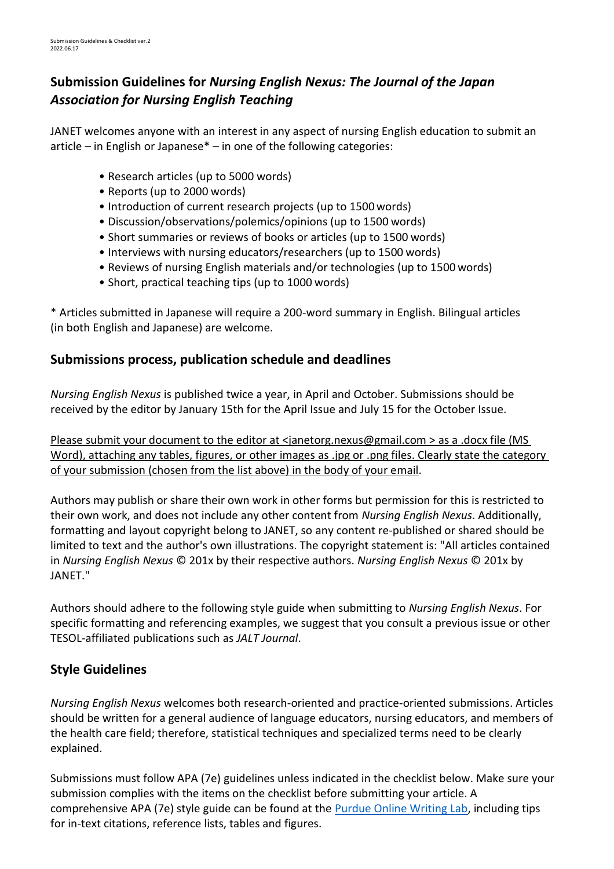# **Submission Guidelines for** *Nursing English Nexus: The Journal of the Japan Association for Nursing English Teaching*

JANET welcomes anyone with an interest in any aspect of nursing English education to submit an article – in English or Japanese $*$  – in one of the following categories:

- Research articles (up to 5000 words)
- Reports (up to 2000 words)
- Introduction of current research projects (up to 1500words)
- Discussion/observations/polemics/opinions (up to 1500 words)
- Short summaries or reviews of books or articles (up to 1500 words)
- Interviews with nursing educators/researchers (up to 1500 words)
- Reviews of nursing English materials and/or technologies (up to 1500 words)
- Short, practical teaching tips (up to 1000 words)

\* Articles submitted in Japanese will require a 200-word summary in English. Bilingual articles (in both English and Japanese) are welcome.

# **Submissions process, publication schedule and deadlines**

*Nursing English Nexus* is published twice a year, in April and October. Submissions should be received by the editor by January 15th for the April Issue and July 15 for the October Issue.

Please submit your document to the editor at <janetorg.nexus@gmail.com > as a .docx file (MS Word), attaching any tables, figures, or other images as .jpg or .png files. Clearly state the category of your submission (chosen from the list above) in the body of your email.

Authors may publish or share their own work in other forms but permission for this is restricted to their own work, and does not include any other content from *Nursing English Nexus*. Additionally, formatting and layout copyright belong to JANET, so any content re-published or shared should be limited to text and the author's own illustrations. The copyright statement is: "All articles contained in *Nursing English Nexus* © 201x by their respective authors. *Nursing English Nexus* © 201x by JANET."

Authors should adhere to the following style guide when submitting to *Nursing English Nexus*. For specific formatting and referencing examples, we suggest that you consult a previous issue or other TESOL-affiliated publications such as *JALT Journal*.

# **Style Guidelines**

*Nursing English Nexus* welcomes both research-oriented and practice-oriented submissions. Articles should be written for a general audience of language educators, nursing educators, and members of the health care field; therefore, statistical techniques and specialized terms need to be clearly explained.

Submissions must follow APA (7e) guidelines unless indicated in the checklist below. Make sure your submission complies with the items on the checklist before submitting your article. A comprehensive APA (7e) style guide can be found at the [Purdue Online Writing Lab,](https://owl.english.purdue.edu/owl/section/2/10/) including tips for in-text citations, reference lists, tables and figures.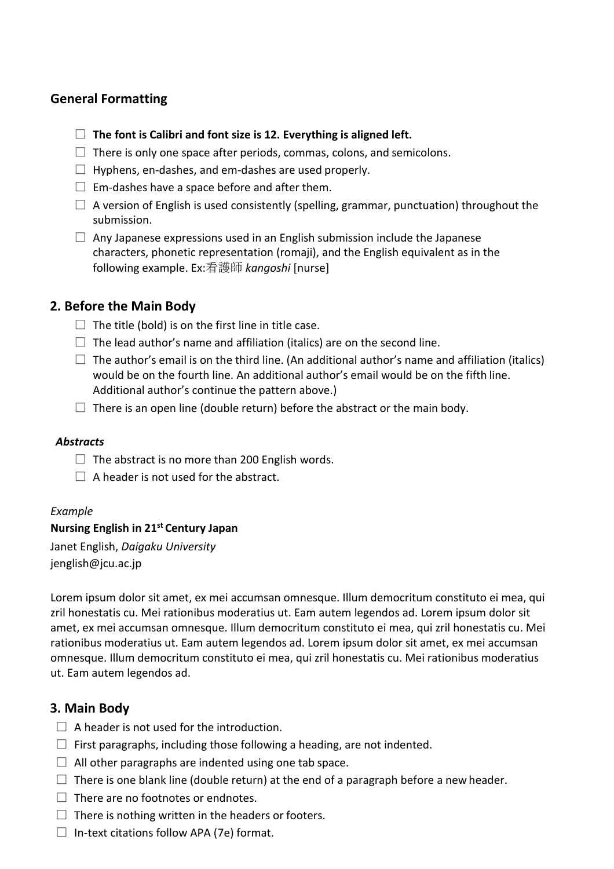## **General Formatting**

- □ **The font is Calibri and font size is 12. Everything is aligned left.**
- $\Box$  There is only one space after periods, commas, colons, and semicolons.
- $\Box$  Hyphens, en-dashes, and em-dashes are used properly.
- $\Box$  Em-dashes have a space before and after them.
- $\Box$  A version of English is used consistently (spelling, grammar, punctuation) throughout the submission.
- $\Box$  Any Japanese expressions used in an English submission include the Japanese characters, phonetic representation (romaji), and the English equivalent as in the following example. Ex:看護師 *kangoshi* [nurse]

## **2. Before the Main Body**

- $\Box$  The title (bold) is on the first line in title case.
- $\Box$  The lead author's name and affiliation (italics) are on the second line.
- $\square$  The author's email is on the third line. (An additional author's name and affiliation (italics) would be on the fourth line. An additional author's email would be on the fifth line. Additional author's continue the pattern above.)
- $\Box$  There is an open line (double return) before the abstract or the main body.

### *Abstracts*

- $\Box$  The abstract is no more than 200 English words.
- $\Box$  A header is not used for the abstract.

### *Example*

### **Nursing English in 21st Century Japan**

Janet English, *Daigaku University*  [jenglish@jcu.ac.jp](mailto:jenglish@jcu.ac.jp)

Lorem ipsum dolor sit amet, ex mei accumsan omnesque. Illum democritum constituto ei mea, qui zril honestatis cu. Mei rationibus moderatius ut. Eam autem legendos ad. Lorem ipsum dolor sit amet, ex mei accumsan omnesque. Illum democritum constituto ei mea, qui zril honestatis cu. Mei rationibus moderatius ut. Eam autem legendos ad. Lorem ipsum dolor sit amet, ex mei accumsan omnesque. Illum democritum constituto ei mea, qui zril honestatis cu. Mei rationibus moderatius ut. Eam autem legendos ad.

## **3. Main Body**

- $\Box$  A header is not used for the introduction.
- $\Box$  First paragraphs, including those following a heading, are not indented.
- $\Box$  All other paragraphs are indented using one tab space.
- $\square$  There is one blank line (double return) at the end of a paragraph before a new header.
- $\Box$  There are no footnotes or endnotes.
- $\Box$  There is nothing written in the headers or footers.
- $\Box$  In-text citations follow APA (7e) format.